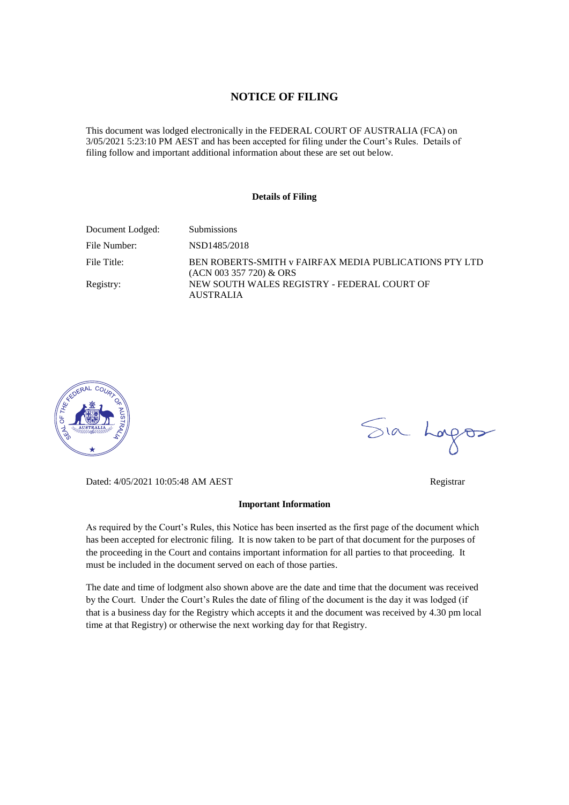#### **NOTICE OF FILING**

This document was lodged electronically in the FEDERAL COURT OF AUSTRALIA (FCA) on 3/05/2021 5:23:10 PM AEST and has been accepted for filing under the Court's Rules. Details of filing follow and important additional information about these are set out below.

#### **Details of Filing**

| Document Lodged: | <b>Submissions</b>                                                                  |
|------------------|-------------------------------------------------------------------------------------|
| File Number:     | NSD1485/2018                                                                        |
| File Title:      | BEN ROBERTS-SMITH v FAIRFAX MEDIA PUBLICATIONS PTY LTD<br>$(ACN 003 357 720)$ & ORS |
| Registry:        | NEW SOUTH WALES REGISTRY - FEDERAL COURT OF<br><b>AUSTRALIA</b>                     |



Sia Logos

Dated: 4/05/2021 10:05:48 AM AEST Registrar

#### **Important Information**

As required by the Court's Rules, this Notice has been inserted as the first page of the document which has been accepted for electronic filing. It is now taken to be part of that document for the purposes of the proceeding in the Court and contains important information for all parties to that proceeding. It must be included in the document served on each of those parties.

The date and time of lodgment also shown above are the date and time that the document was received by the Court. Under the Court's Rules the date of filing of the document is the day it was lodged (if that is a business day for the Registry which accepts it and the document was received by 4.30 pm local time at that Registry) or otherwise the next working day for that Registry.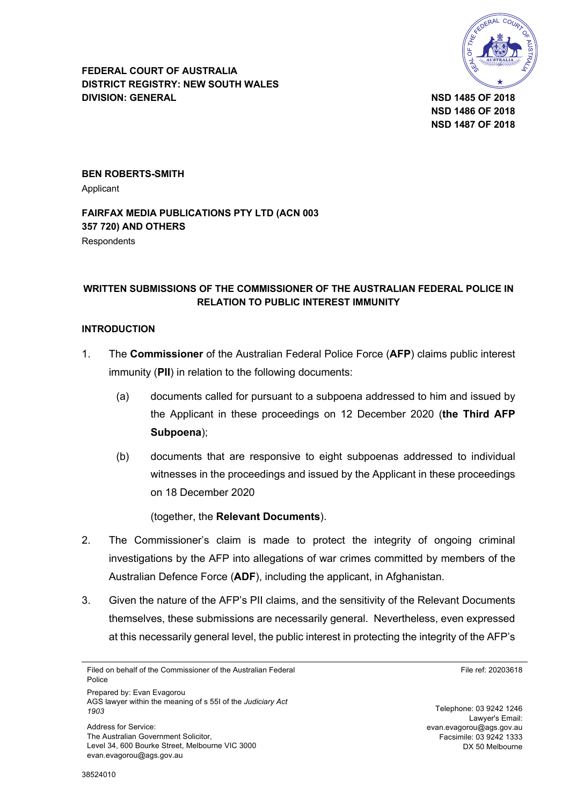

**FEDERAL COURT OF AUSTRALIA DISTRICT REGISTRY: NEW SOUTH WALES DIVISION: GENERAL NSD 1485 OF 2018**

**NSD 1486 OF 2018 NSD 1487 OF 2018**

**BEN ROBERTS-SMITH**

Applicant

#### **FAIRFAX MEDIA PUBLICATIONS PTY LTD (ACN 003 357 720) AND OTHERS Respondents**

## **WRITTEN SUBMISSIONS OF THE COMMISSIONER OF THE AUSTRALIAN FEDERAL POLICE IN RELATION TO PUBLIC INTEREST IMMUNITY**

#### **INTRODUCTION**

- 1. The **Commissioner** of the Australian Federal Police Force (**AFP**) claims public interest immunity (**PII**) in relation to the following documents:
	- (a) documents called for pursuant to a subpoena addressed to him and issued by the Applicant in these proceedings on 12 December 2020 (**the Third AFP Subpoena**);
	- (b) documents that are responsive to eight subpoenas addressed to individual witnesses in the proceedings and issued by the Applicant in these proceedings on 18 December 2020

(together, the **Relevant Documents**).

- 2. The Commissioner's claim is made to protect the integrity of ongoing criminal investigations by the AFP into allegations of war crimes committed by members of the Australian Defence Force (**ADF**), including the applicant, in Afghanistan.
- 3. Given the nature of the AFP's PII claims, and the sensitivity of the Relevant Documents themselves, these submissions are necessarily general. Nevertheless, even expressed at this necessarily general level, the public interest in protecting the integrity of the AFP's

Filed on behalf of the Commissioner of the Australian Federal Police

Prepared by: Evan Evagorou AGS lawyer within the meaning of s 55I of the *Judiciary Act 1903*

Address for Service: The Australian Government Solicitor, Level 34, 600 Bourke Street, Melbourne VIC 3000 evan.evagorou@ags.gov.au

File ref: 20203618

Telephone: 03 9242 1246 Lawyer's Email: evan.evagorou@ags.gov.au Facsimile: 03 9242 1333 DX 50 Melbourne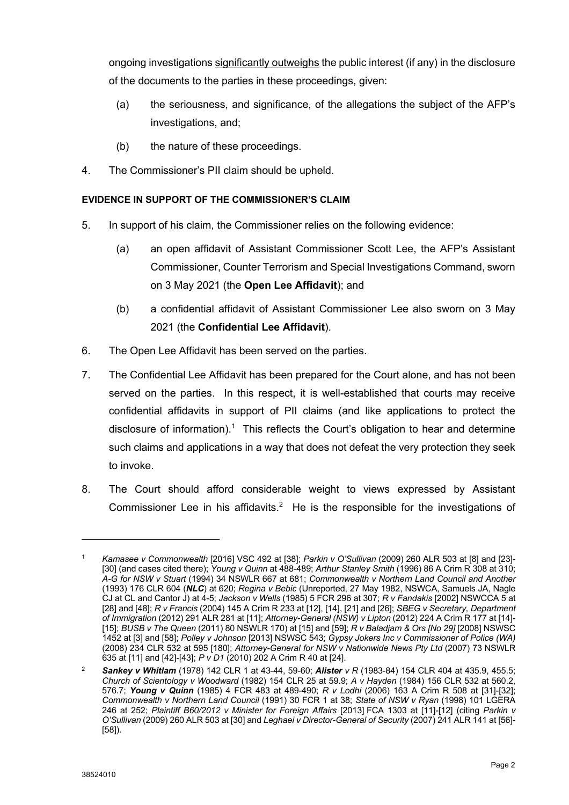ongoing investigations significantly outweighs the public interest (if any) in the disclosure of the documents to the parties in these proceedings, given:

- (a) the seriousness, and significance, of the allegations the subject of the AFP's investigations, and;
- (b) the nature of these proceedings.
- 4. The Commissioner's PII claim should be upheld.

## **EVIDENCE IN SUPPORT OF THE COMMISSIONER'S CLAIM**

- 5. In support of his claim, the Commissioner relies on the following evidence:
	- (a) an open affidavit of Assistant Commissioner Scott Lee, the AFP's Assistant Commissioner, Counter Terrorism and Special Investigations Command, sworn on 3 May 2021 (the **Open Lee Affidavit**); and
	- (b) a confidential affidavit of Assistant Commissioner Lee also sworn on 3 May 2021 (the **Confidential Lee Affidavit**).
- 6. The Open Lee Affidavit has been served on the parties.
- 7. The Confidential Lee Affidavit has been prepared for the Court alone, and has not been served on the parties. In this respect, it is well-established that courts may receive confidential affidavits in support of PII claims (and like applications to protect the disclosure of information).<sup>1</sup> This reflects the Court's obligation to hear and determine such claims and applications in a way that does not defeat the very protection they seek to invoke.
- 8. The Court should afford considerable weight to views expressed by Assistant Commissioner Lee in his affidavits.<sup>2</sup> He is the responsible for the investigations of

<sup>1</sup> *Kamasee v Commonwealth* [2016] VSC 492 at [38]; *Parkin v O'Sullivan* (2009) 260 ALR 503 at [8] and [23]- [30] (and cases cited there); *Young v Quinn* at 488-489; *Arthur Stanley Smith* (1996) 86 A Crim R 308 at 310; *A-G for NSW v Stuart* (1994) 34 NSWLR 667 at 681; *Commonwealth v Northern Land Council and Another*  (1993) 176 CLR 604 (*NLC*) at 620; *Regina v Bebic* (Unreported, 27 May 1982, NSWCA, Samuels JA, Nagle CJ at CL and Cantor J) at 4-5; *Jackson v Wells* (1985) 5 FCR 296 at 307; *R v Fandakis* [2002] NSWCCA 5 at [28] and [48]; *R v Francis* (2004) 145 A Crim R 233 at [12], [14], [21] and [26]; *SBEG v Secretary, Department of Immigration* (2012) 291 ALR 281 at [11]; *Attorney-General (NSW) v Lipton* (2012) 224 A Crim R 177 at [14]- [15]; *BUSB v The Queen* (2011) 80 NSWLR 170) at [15] and [59]; *R v Baladjam & Ors [No 29]* [2008] NSWSC 1452 at [3] and [58]; *Polley v Johnson* [2013] NSWSC 543; *Gypsy Jokers Inc v Commissioner of Police (WA)* (2008) 234 CLR 532 at 595 [180]; *Attorney-General for NSW v Nationwide News Pty Ltd* (2007) 73 NSWLR 635 at [11] and [42]-[43]; *P v D1* (2010) 202 A Crim R 40 at [24].

<sup>2</sup> *Sankey v Whitlam* (1978) 142 CLR 1 at 43-44, 59-60; *Alister v R* (1983-84) 154 CLR 404 at 435.9, 455.5; *Church of Scientology v Woodward* (1982) 154 CLR 25 at 59.9; *A v Hayden* (1984) 156 CLR 532 at 560.2, 576.7; *Young v Quinn* (1985) 4 FCR 483 at 489-490; *R v Lodhi* (2006) 163 A Crim R 508 at [31]-[32]; *Commonwealth v Northern Land Council* (1991) 30 FCR 1 at 38; *State of NSW v Ryan* (1998) 101 LGERA 246 at 252; *Plaintiff B60/2012 v Minister for Foreign Affairs* [2013] FCA 1303 at [11]-[12] (citing *Parkin v O'Sullivan* (2009) 260 ALR 503 at [30] and *Leghaei v Director-General of Security* (2007) 241 ALR 141 at [56]- [58]).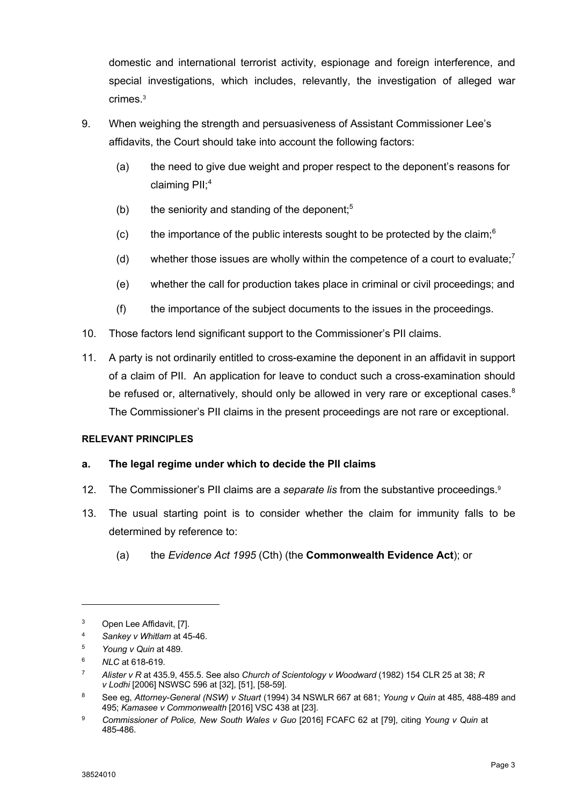domestic and international terrorist activity, espionage and foreign interference, and special investigations, which includes, relevantly, the investigation of alleged war crimes.3

- 9. When weighing the strength and persuasiveness of Assistant Commissioner Lee's affidavits, the Court should take into account the following factors:
	- (a) the need to give due weight and proper respect to the deponent's reasons for claiming PII; 4
	- (b) the seniority and standing of the deponent; $5$
	- (c) the importance of the public interests sought to be protected by the claim; $6$
	- (d) whether those issues are wholly within the competence of a court to evaluate;<sup>7</sup>
	- (e) whether the call for production takes place in criminal or civil proceedings; and
	- (f) the importance of the subject documents to the issues in the proceedings.
- 10. Those factors lend significant support to the Commissioner's PII claims.
- 11. A party is not ordinarily entitled to cross-examine the deponent in an affidavit in support of a claim of PII. An application for leave to conduct such a cross-examination should be refused or, alternatively, should only be allowed in very rare or exceptional cases. $8$ The Commissioner's PII claims in the present proceedings are not rare or exceptional.

#### **RELEVANT PRINCIPLES**

## **a. The legal regime under which to decide the PII claims**

- 12. The Commissioner's PII claims are a *separate lis* from the substantive proceedings. 9
- 13. The usual starting point is to consider whether the claim for immunity falls to be determined by reference to:
	- (a) the *Evidence Act 1995* (Cth) (the **Commonwealth Evidence Act**); or

- <sup>4</sup> *Sankey v Whitlam* at 45-46.
- <sup>5</sup> *Young v Quin* at 489.
- <sup>6</sup> *NLC* at 618-619.

<sup>3</sup> Open Lee Affidavit, [7].

<sup>7</sup> *Alister v R* at 435.9, 455.5. See also *Church of Scientology v Woodward* (1982) 154 CLR 25 at 38; *R v Lodhi* [2006] NSWSC 596 at [32], [51], [58-59].

<sup>8</sup> See eg, *Attorney-General (NSW) v Stuart* (1994) 34 NSWLR 667 at 681; *Young v Quin* at 485, 488-489 and 495; *Kamasee v Commonwealth* [2016] VSC 438 at [23].

<sup>9</sup> *Commissioner of Police, New South Wales v Guo* [2016] FCAFC 62 at [79], citing *Young v Quin* at 485-486.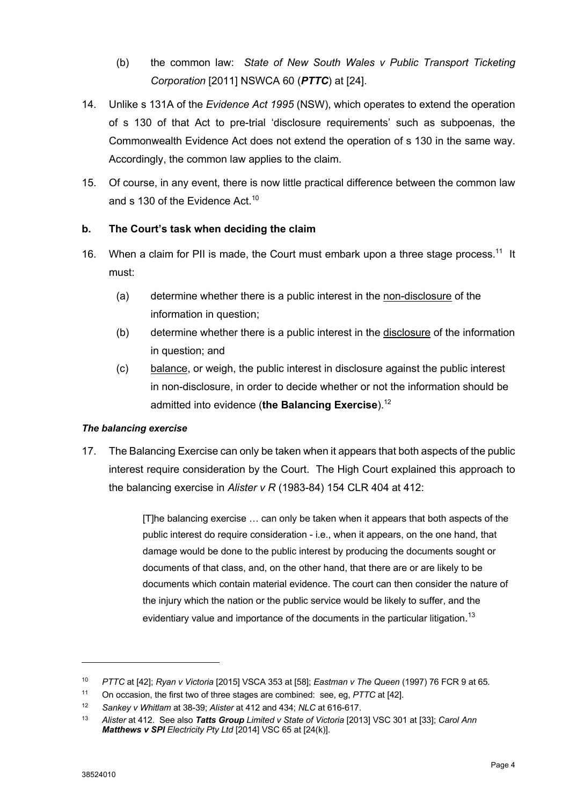- (b) the common law: *State of New South Wales v Public Transport Ticketing Corporation* [2011] NSWCA 60 (*PTTC*) at [24].
- 14. Unlike s 131A of the *Evidence Act 1995* (NSW), which operates to extend the operation of s 130 of that Act to pre-trial 'disclosure requirements' such as subpoenas, the Commonwealth Evidence Act does not extend the operation of s 130 in the same way. Accordingly, the common law applies to the claim.
- 15. Of course, in any event, there is now little practical difference between the common law and s 130 of the Evidence Act.<sup>10</sup>

# **b. The Court's task when deciding the claim**

- 16. When a claim for PII is made, the Court must embark upon a three stage process.<sup>11</sup> It must:
	- (a) determine whether there is a public interest in the non-disclosure of the information in question;
	- (b) determine whether there is a public interest in the disclosure of the information in question; and
	- (c) balance, or weigh, the public interest in disclosure against the public interest in non-disclosure, in order to decide whether or not the information should be admitted into evidence (**the Balancing Exercise**). 12

## *The balancing exercise*

17. The Balancing Exercise can only be taken when it appears that both aspects of the public interest require consideration by the Court. The High Court explained this approach to the balancing exercise in *Alister v R* (1983-84) 154 CLR 404 at 412:

> [T]he balancing exercise … can only be taken when it appears that both aspects of the public interest do require consideration - i.e., when it appears, on the one hand, that damage would be done to the public interest by producing the documents sought or documents of that class, and, on the other hand, that there are or are likely to be documents which contain material evidence. The court can then consider the nature of the injury which the nation or the public service would be likely to suffer, and the evidentiary value and importance of the documents in the particular litigation.<sup>13</sup>

<sup>10</sup> *PTTC* at [42]; *Ryan v Victoria* [2015] VSCA 353 at [58]; *Eastman v The Queen* (1997) 76 FCR 9 at 65*.*

<sup>11</sup> On occasion, the first two of three stages are combined: see, eg, *PTTC* at [42].

<sup>12</sup> *Sankey v Whitlam* at 38-39; *Alister* at 412 and 434; *NLC* at 616-617.

<sup>13</sup> *Alister* at 412. See also *Tatts Group Limited v State of Victoria* [2013] VSC 301 at [33]; *Carol Ann Matthews v SPI Electricity Pty Ltd* [2014] VSC 65 at [24(k)].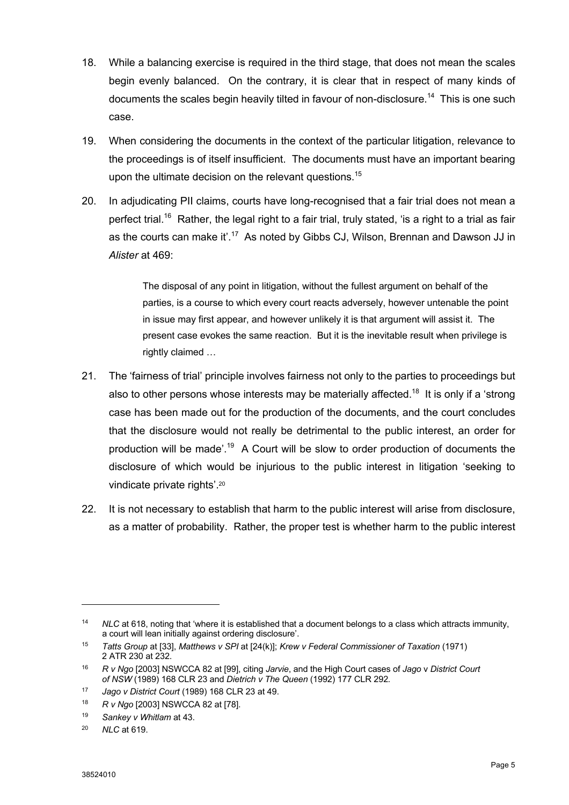- 18. While a balancing exercise is required in the third stage, that does not mean the scales begin evenly balanced. On the contrary, it is clear that in respect of many kinds of documents the scales begin heavily tilted in favour of non-disclosure.<sup>14</sup> This is one such case.
- 19. When considering the documents in the context of the particular litigation, relevance to the proceedings is of itself insufficient. The documents must have an important bearing upon the ultimate decision on the relevant questions.<sup>15</sup>
- 20. In adjudicating PII claims, courts have long-recognised that a fair trial does not mean a perfect trial.<sup>16</sup> Rather, the legal right to a fair trial, truly stated, 'is a right to a trial as fair as the courts can make it'.<sup>17</sup> As noted by Gibbs CJ, Wilson, Brennan and Dawson JJ in *Alister* at 469:

The disposal of any point in litigation, without the fullest argument on behalf of the parties, is a course to which every court reacts adversely, however untenable the point in issue may first appear, and however unlikely it is that argument will assist it. The present case evokes the same reaction. But it is the inevitable result when privilege is rightly claimed …

- 21. The 'fairness of trial' principle involves fairness not only to the parties to proceedings but also to other persons whose interests may be materially affected.<sup>18</sup> It is only if a 'strong case has been made out for the production of the documents, and the court concludes that the disclosure would not really be detrimental to the public interest, an order for production will be made'.<sup>19</sup> A Court will be slow to order production of documents the disclosure of which would be injurious to the public interest in litigation 'seeking to vindicate private rights'.20
- 22. It is not necessary to establish that harm to the public interest will arise from disclosure, as a matter of probability. Rather, the proper test is whether harm to the public interest

<sup>14</sup> *NLC* at 618, noting that 'where it is established that a document belongs to a class which attracts immunity, a court will lean initially against ordering disclosure'.

<sup>15</sup> *Tatts Group* at [33], *Matthews v SPI* at [24(k)]; *Krew v Federal Commissioner of Taxation* (1971) 2 ATR 230 at 232.

<sup>16</sup> *R v Ngo* [2003] NSWCCA 82 at [99], citing *Jarvie*, and the High Court cases of *Jago* v *District Court of NSW* (1989) 168 CLR 23 and *Dietrich v The Queen* (1992) 177 CLR 292*.*

<sup>17</sup> *Jago v District Court* (1989) 168 CLR 23 at 49.

<sup>18</sup> *R v Ngo* [2003] NSWCCA 82 at [78].

<sup>19</sup> *Sankey v Whitlam* at 43.

<sup>20</sup> *NLC* at 619.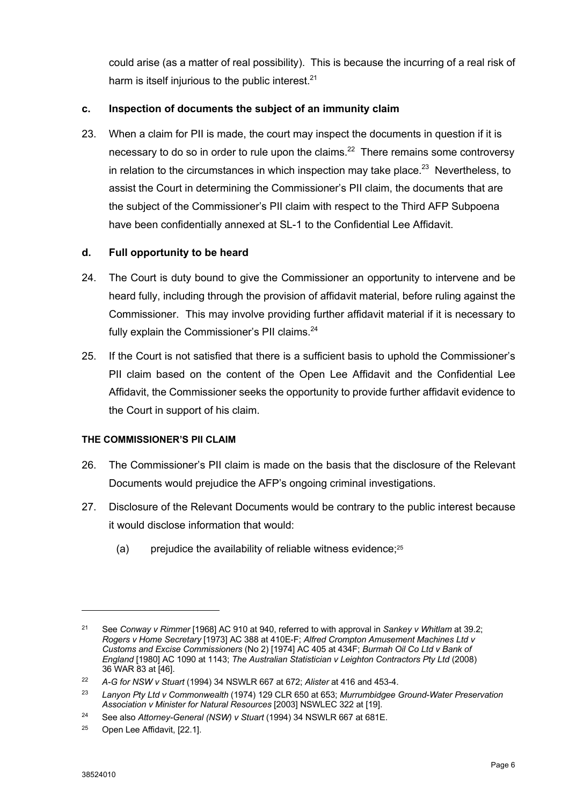could arise (as a matter of real possibility). This is because the incurring of a real risk of harm is itself injurious to the public interest. $21$ 

## **c. Inspection of documents the subject of an immunity claim**

23. When a claim for PII is made, the court may inspect the documents in question if it is necessary to do so in order to rule upon the claims.<sup>22</sup> There remains some controversy in relation to the circumstances in which inspection may take place. $^{23}$  Nevertheless, to assist the Court in determining the Commissioner's PII claim, the documents that are the subject of the Commissioner's PII claim with respect to the Third AFP Subpoena have been confidentially annexed at SL-1 to the Confidential Lee Affidavit.

## **d. Full opportunity to be heard**

- 24. The Court is duty bound to give the Commissioner an opportunity to intervene and be heard fully, including through the provision of affidavit material, before ruling against the Commissioner. This may involve providing further affidavit material if it is necessary to fully explain the Commissioner's PII claims.<sup>24</sup>
- 25. If the Court is not satisfied that there is a sufficient basis to uphold the Commissioner's PII claim based on the content of the Open Lee Affidavit and the Confidential Lee Affidavit, the Commissioner seeks the opportunity to provide further affidavit evidence to the Court in support of his claim.

## **THE COMMISSIONER'S PII CLAIM**

- 26. The Commissioner's PII claim is made on the basis that the disclosure of the Relevant Documents would prejudice the AFP's ongoing criminal investigations.
- 27. Disclosure of the Relevant Documents would be contrary to the public interest because it would disclose information that would:
	- (a) prejudice the availability of reliable witness evidence; $25$

<sup>21</sup> See *Conway v Rimmer* [1968] AC 910 at 940, referred to with approval in *Sankey v Whitlam* at 39.2; *Rogers v Home Secretary* [1973] AC 388 at 410E-F; *Alfred Crompton Amusement Machines Ltd v Customs and Excise Commissioners* (No 2) [1974] AC 405 at 434F; *Burmah Oil Co Ltd v Bank of England* [1980] AC 1090 at 1143; *The Australian Statistician v Leighton Contractors Pty Ltd* (2008) 36 WAR 83 at [46].

<sup>22</sup> *A-G for NSW v Stuart* (1994) 34 NSWLR 667 at 672; *Alister* at 416 and 453-4.

<sup>23</sup> *Lanyon Pty Ltd v Commonwealth* (1974) 129 CLR 650 at 653; *Murrumbidgee Ground-Water Preservation Association v Minister for Natural Resources* [2003] NSWLEC 322 at [19].

<sup>24</sup> See also *Attorney-General (NSW) v Stuart* (1994) 34 NSWLR 667 at 681E.

<sup>25</sup> Open Lee Affidavit, [22.1].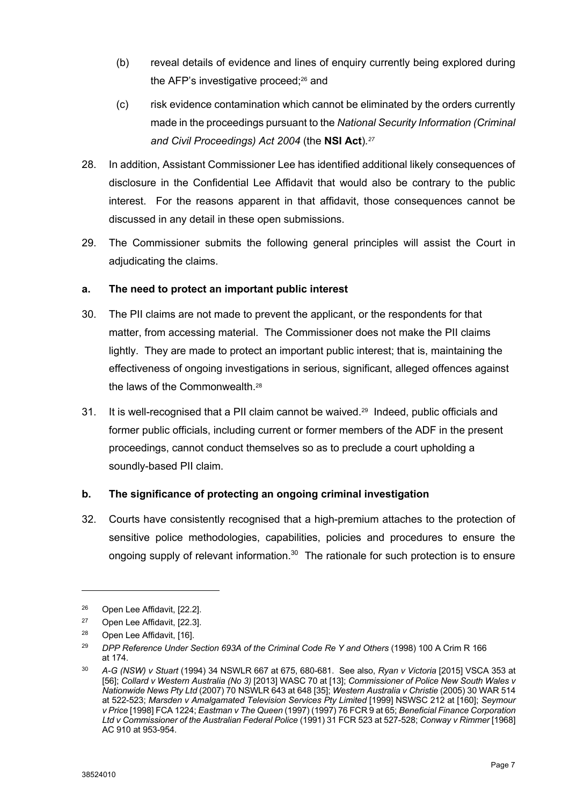- (b) reveal details of evidence and lines of enquiry currently being explored during the AFP's investigative proceed;<sup>26</sup> and
- (c) risk evidence contamination which cannot be eliminated by the orders currently made in the proceedings pursuant to the *National Security Information (Criminal and Civil Proceedings) Act 2004* (the **NSI Act**)*.27*
- 28. In addition, Assistant Commissioner Lee has identified additional likely consequences of disclosure in the Confidential Lee Affidavit that would also be contrary to the public interest. For the reasons apparent in that affidavit, those consequences cannot be discussed in any detail in these open submissions.
- 29. The Commissioner submits the following general principles will assist the Court in adjudicating the claims.

# **a. The need to protect an important public interest**

- 30. The PII claims are not made to prevent the applicant, or the respondents for that matter, from accessing material. The Commissioner does not make the PII claims lightly. They are made to protect an important public interest; that is, maintaining the effectiveness of ongoing investigations in serious, significant, alleged offences against the laws of the Commonwealth.28
- 31. It is well-recognised that a PII claim cannot be waived.<sup>29</sup> Indeed, public officials and former public officials, including current or former members of the ADF in the present proceedings, cannot conduct themselves so as to preclude a court upholding a soundly-based PII claim.

## **b. The significance of protecting an ongoing criminal investigation**

32. Courts have consistently recognised that a high-premium attaches to the protection of sensitive police methodologies, capabilities, policies and procedures to ensure the ongoing supply of relevant information.<sup>30</sup> The rationale for such protection is to ensure

<sup>26</sup> Open Lee Affidavit, [22.2].

<sup>27</sup> Open Lee Affidavit, [22.3].

<sup>28</sup> Open Lee Affidavit, [16].

<sup>29</sup> *DPP Reference Under Section 693A of the Criminal Code Re Y and Others* (1998) 100 A Crim R 166 at 174.

<sup>30</sup> *A-G (NSW) v Stuart* (1994) 34 NSWLR 667 at 675, 680-681. See also, *Ryan v Victoria* [2015] VSCA 353 at [56]; *Collard v Western Australia (No 3)* [2013] WASC 70 at [13]; *Commissioner of Police New South Wales v Nationwide News Pty Ltd* (2007) 70 NSWLR 643 at 648 [35]; *Western Australia v Christie* (2005) 30 WAR 514 at 522-523; *Marsden v Amalgamated Television Services Pty Limited* [1999] NSWSC 212 at [160]; *Seymour v Price* [1998] FCA 1224; *Eastman v The Queen* (1997) (1997) 76 FCR 9 at 65; *Beneficial Finance Corporation Ltd v Commissioner of the Australian Federal Police* (1991) 31 FCR 523 at 527-528; *Conway v Rimmer* [1968] AC 910 at 953-954.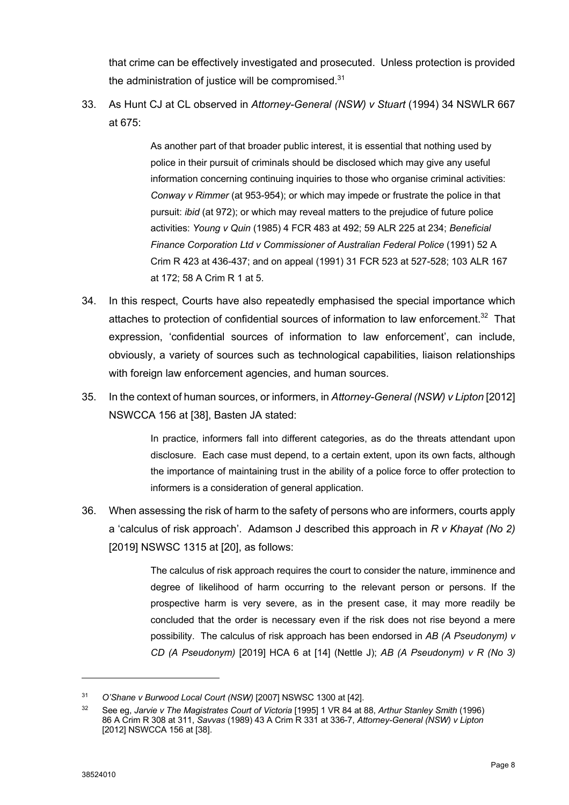that crime can be effectively investigated and prosecuted. Unless protection is provided the administration of justice will be compromised. $31$ 

33. As Hunt CJ at CL observed in *Attorney-General (NSW) v Stuart* (1994) 34 NSWLR 667 at  $675$ 

> As another part of that broader public interest, it is essential that nothing used by police in their pursuit of criminals should be disclosed which may give any useful information concerning continuing inquiries to those who organise criminal activities: *Conway v Rimmer* (at 953-954); or which may impede or frustrate the police in that pursuit: *ibid* (at 972); or which may reveal matters to the prejudice of future police activities: *Young v Quin* (1985) 4 FCR 483 at 492; 59 ALR 225 at 234; *Beneficial Finance Corporation Ltd v Commissioner of Australian Federal Police* (1991) 52 A Crim R 423 at 436-437; and on appeal (1991) 31 FCR 523 at 527-528; 103 ALR 167 at 172; 58 A Crim R 1 at 5.

- 34. In this respect, Courts have also repeatedly emphasised the special importance which attaches to protection of confidential sources of information to law enforcement.<sup>32</sup> That expression, 'confidential sources of information to law enforcement', can include, obviously, a variety of sources such as technological capabilities, liaison relationships with foreign law enforcement agencies, and human sources.
- 35. In the context of human sources, or informers, in *Attorney-General (NSW) v Lipton* [2012] NSWCCA 156 at [38], Basten JA stated:

In practice, informers fall into different categories, as do the threats attendant upon disclosure. Each case must depend, to a certain extent, upon its own facts, although the importance of maintaining trust in the ability of a police force to offer protection to informers is a consideration of general application.

36. When assessing the risk of harm to the safety of persons who are informers, courts apply a 'calculus of risk approach'. Adamson J described this approach in *R v Khayat (No 2)* [2019] NSWSC 1315 at [20], as follows:

> The calculus of risk approach requires the court to consider the nature, imminence and degree of likelihood of harm occurring to the relevant person or persons. If the prospective harm is very severe, as in the present case, it may more readily be concluded that the order is necessary even if the risk does not rise beyond a mere possibility. The calculus of risk approach has been endorsed in *AB (A Pseudonym) v CD (A Pseudonym)* [2019] HCA 6 at [14] (Nettle J); *AB (A Pseudonym) v R (No 3)*

<sup>31</sup> *O'Shane v Burwood Local Court (NSW)* [2007] NSWSC 1300 at [42].

<sup>32</sup> See eg, *Jarvie v The Magistrates Court of Victoria* [1995] 1 VR 84 at 88, *Arthur Stanley Smith* (1996) 86 A Crim R 308 at 311, *Savvas* (1989) 43 A Crim R 331 at 336-7, *Attorney-General (NSW) v Lipton*  [2012] NSWCCA 156 at [38].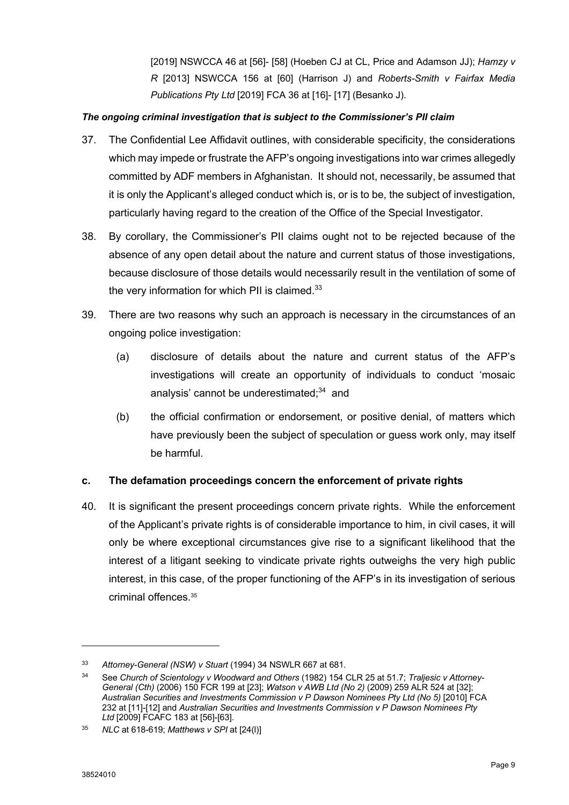[2019] NSWCCA 46 at [56]- [58] (Hoeben CJ at CL, Price and Adamson JJ); *Hamzy v R* [2013] NSWCCA 156 at [60] (Harrison J) and *Roberts-Smith v Fairfax Media Publications Pty Ltd* [2019] FCA 36 at [16]- [17] (Besanko J).

#### *The ongoing criminal investigation that is subject to the Commissioner's PII claim*

- 37. The Confidential Lee Affidavit outlines, with considerable specificity, the considerations which may impede or frustrate the AFP's ongoing investigations into war crimes allegedly committed by ADF members in Afghanistan. It should not, necessarily, be assumed that it is only the Applicant's alleged conduct which is, or is to be, the subject of investigation, particularly having regard to the creation of the Office of the Special Investigator.
- 38. By corollary, the Commissioner's PII claims ought not to be rejected because of the absence of any open detail about the nature and current status of those investigations, because disclosure of those details would necessarily result in the ventilation of some of the very information for which PII is claimed. $33$
- 39. There are two reasons why such an approach is necessary in the circumstances of an ongoing police investigation:
	- (a) disclosure of details about the nature and current status of the AFP's investigations will create an opportunity of individuals to conduct 'mosaic analysis' cannot be underestimated;<sup>34</sup> and
	- (b) the official confirmation or endorsement, or positive denial, of matters which have previously been the subject of speculation or guess work only, may itself be harmful.

## **c. The defamation proceedings concern the enforcement of private rights**

40. It is significant the present proceedings concern private rights. While the enforcement of the Applicant's private rights is of considerable importance to him, in civil cases, it will only be where exceptional circumstances give rise to a significant likelihood that the interest of a litigant seeking to vindicate private rights outweighs the very high public interest, in this case, of the proper functioning of the AFP's in its investigation of serious criminal offences.35

<sup>33</sup> *Attorney-General (NSW) v Stuart* (1994) 34 NSWLR 667 at 681.

<sup>34</sup> See *Church of Scientology v Woodward and Others* (1982) 154 CLR 25 at 51.7; *Traljesic v Attorney-General (Cth)* (2006) 150 FCR 199 at [23]; *Watson v AWB Ltd (No 2)* (2009) 259 ALR 524 at [32]; *Australian Securities and Investments Commission v P Dawson Nominees Pty Ltd (No 5)* [2010] FCA 232 at [11]-[12] and *Australian Securities and Investments Commission v P Dawson Nominees Pty Ltd* [2009] FCAFC 183 at [56]-[63].

<sup>35</sup> *NLC* at 618-619; *Matthews v SPI* at [24(l)]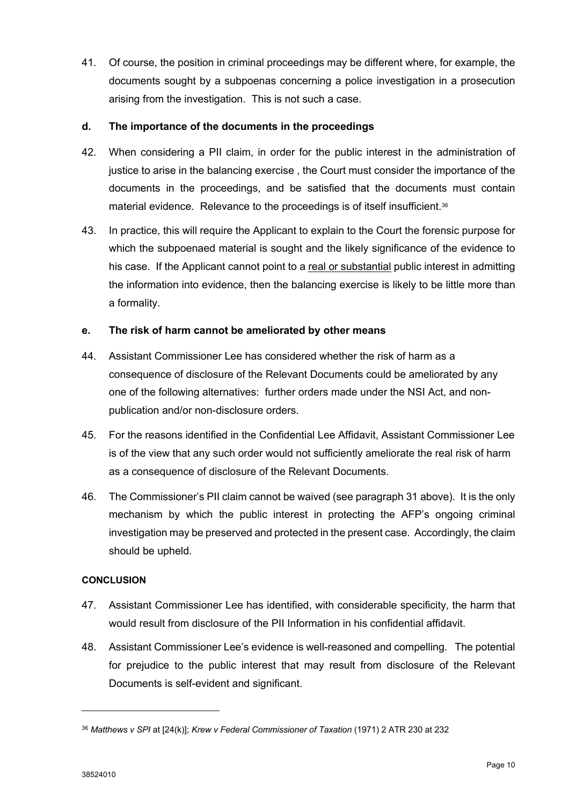41. Of course, the position in criminal proceedings may be different where, for example, the documents sought by a subpoenas concerning a police investigation in a prosecution arising from the investigation. This is not such a case.

#### **d. The importance of the documents in the proceedings**

- 42. When considering a PII claim, in order for the public interest in the administration of justice to arise in the balancing exercise , the Court must consider the importance of the documents in the proceedings, and be satisfied that the documents must contain material evidence. Relevance to the proceedings is of itself insufficient.<sup>36</sup>
- 43. In practice, this will require the Applicant to explain to the Court the forensic purpose for which the subpoenaed material is sought and the likely significance of the evidence to his case. If the Applicant cannot point to a real or substantial public interest in admitting the information into evidence, then the balancing exercise is likely to be little more than a formality.

#### **e. The risk of harm cannot be ameliorated by other means**

- 44. Assistant Commissioner Lee has considered whether the risk of harm as a consequence of disclosure of the Relevant Documents could be ameliorated by any one of the following alternatives: further orders made under the NSI Act, and nonpublication and/or non-disclosure orders.
- 45. For the reasons identified in the Confidential Lee Affidavit, Assistant Commissioner Lee is of the view that any such order would not sufficiently ameliorate the real risk of harm as a consequence of disclosure of the Relevant Documents.
- 46. The Commissioner's PII claim cannot be waived (see paragraph 31 above). It is the only mechanism by which the public interest in protecting the AFP's ongoing criminal investigation may be preserved and protected in the present case. Accordingly, the claim should be upheld.

#### **CONCLUSION**

- 47. Assistant Commissioner Lee has identified, with considerable specificity, the harm that would result from disclosure of the PII Information in his confidential affidavit.
- 48. Assistant Commissioner Lee's evidence is well-reasoned and compelling. The potential for prejudice to the public interest that may result from disclosure of the Relevant Documents is self-evident and significant.

<sup>36</sup> *Matthews v SPI* at [24(k)]; *Krew v Federal Commissioner of Taxation* (1971) 2 ATR 230 at 232